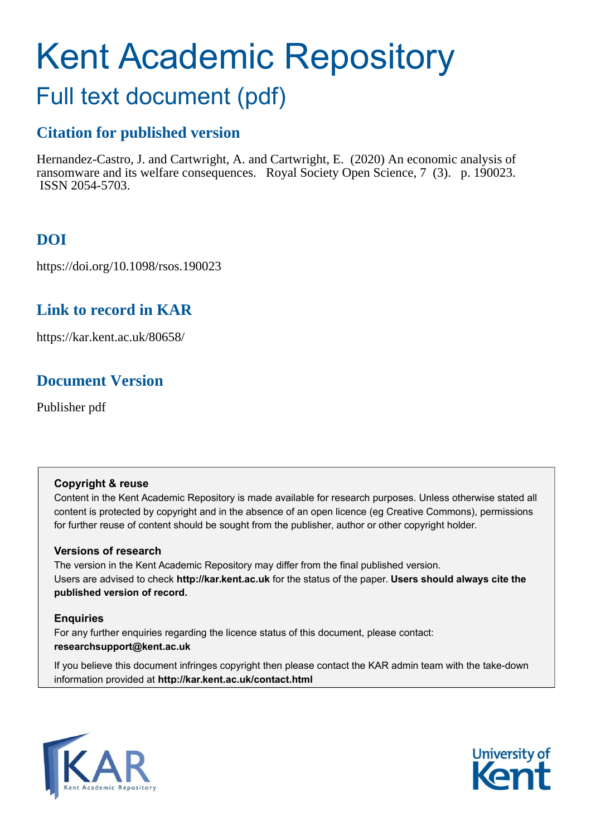# Kent Academic Repository

# Full text document (pdf)

# **Citation for published version**

Hernandez-Castro, J. and Cartwright, A. and Cartwright, E. (2020) An economic analysis of ransomware and its welfare consequences. Royal Society Open Science, 7 (3). p. 190023. ISSN 2054-5703.

# **DOI**

https://doi.org/10.1098/rsos.190023

# **Link to record in KAR**

https://kar.kent.ac.uk/80658/

# **Document Version**

Publisher pdf

#### **Copyright & reuse**

Content in the Kent Academic Repository is made available for research purposes. Unless otherwise stated all content is protected by copyright and in the absence of an open licence (eg Creative Commons), permissions for further reuse of content should be sought from the publisher, author or other copyright holder.

#### **Versions of research**

The version in the Kent Academic Repository may differ from the final published version. Users are advised to check **http://kar.kent.ac.uk** for the status of the paper. **Users should always cite the published version of record.**

#### **Enquiries**

For any further enquiries regarding the licence status of this document, please contact: **researchsupport@kent.ac.uk**

If you believe this document infringes copyright then please contact the KAR admin team with the take-down information provided at **http://kar.kent.ac.uk/contact.html**



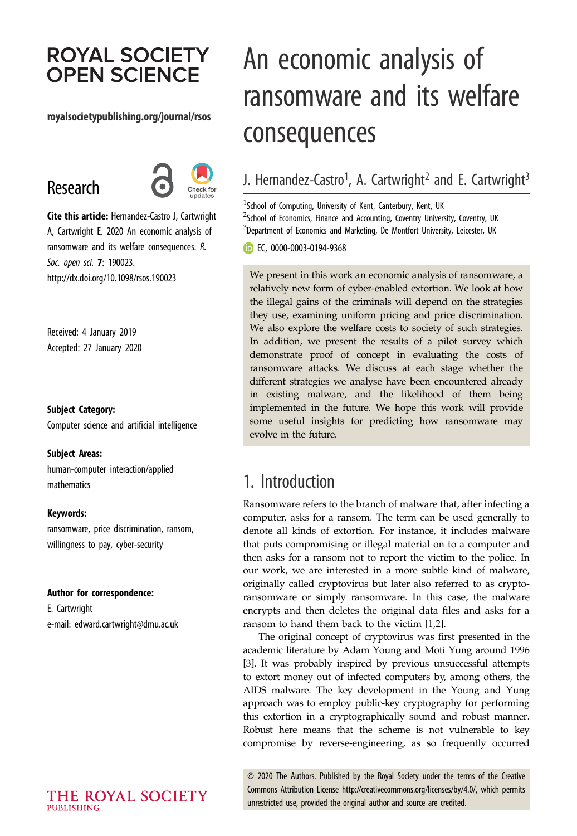# **ROYAL SOCIETY OPEN SCIENCE**

#### royalsocietypublishing.org/journal/rsos

# Research



Cite this article: Hernandez-Castro J, Cartwright A, Cartwright E. 2020 An economic analysis of ransomware and its welfare consequences. R. Soc. open sci. 7: 190023. http://dx.doi.org/10.1098/rsos.190023

Received: 4 January 2019 Accepted: 27 January 2020

#### Subject Category:

Computer science and artificial intelligence

#### Subject Areas:

human-computer interaction/applied mathematics

#### Keywords:

ransomware, price discrimination, ransom, willingness to pay, cyber-security

#### Author for correspondence:

E. Cartwright e-mail: [edward.cartwright@dmu.ac.uk](mailto:edward.cartwright@dmu.ac.uk)

# An economic analysis of ransomware and its welfare consequences

# J. Hernandez-Castro<sup>1</sup>, A. Cartwright<sup>2</sup> and E. Cartwright<sup>3</sup>

<sup>1</sup> School of Computing, University of Kent, Canterbury, Kent, UK <sup>2</sup>School of Economics, Finance and Accounting, Coventry University, Coventry, UK  ${}^{3}$ Department of Economics and Marketing, De Montfort University, Leicester, UK

**EC, [0000-0003-0194-9368](http://orcid.org/0000-0003-0194-9368)** 

We present in this work an economic analysis of ransomware, a relatively new form of cyber-enabled extortion. We look at how the illegal gains of the criminals will depend on the strategies they use, examining uniform pricing and price discrimination. We also explore the welfare costs to society of such strategies. In addition, we present the results of a pilot survey which demonstrate proof of concept in evaluating the costs of ransomware attacks. We discuss at each stage whether the different strategies we analyse have been encountered already in existing malware, and the likelihood of them being implemented in the future. We hope this work will provide some useful insights for predicting how ransomware may evolve in the future.

## 1. Introduction

Ransomware refers to the branch of malware that, after infecting a computer, asks for a ransom. The term can be used generally to denote all kinds of extortion. For instance, it includes malware that puts compromising or illegal material on to a computer and then asks for a ransom not to report the victim to the police. In our work, we are interested in a more subtle kind of malware, originally called cryptovirus but later also referred to as cryptoransomware or simply ransomware. In this case, the malware encrypts and then deletes the original data files and asks for a ransom to hand them back to the victim [1,2].

The original concept of cryptovirus was first presented in the academic literature by Adam Young and Moti Yung around 1996 [3]. It was probably inspired by previous unsuccessful attempts to extort money out of infected computers by, among others, the AIDS malware. The key development in the Young and Yung approach was to employ public-key cryptography for performing this extortion in a cryptographically sound and robust manner. Robust here means that the scheme is not vulnerable to key compromise by reverse-engineering, as so frequently occurred

© 2020 The Authors. Published by the Royal Society under the terms of the Creative Commons Attribution License<http://creativecommons.org/licenses/by/4.0/>, which permits unrestricted use, provided the original author and source are credited.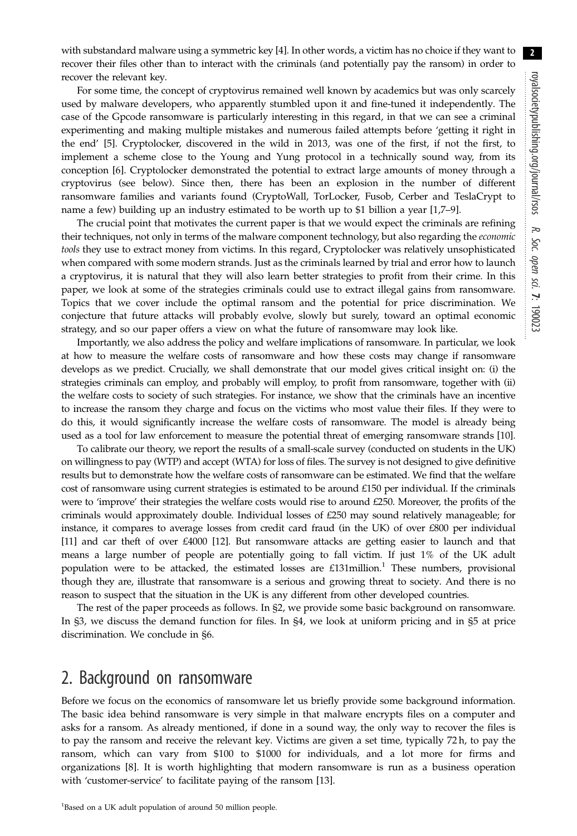with substandard malware using a symmetric key [4]. In other words, a victim has no choice if they want to recover their files other than to interact with the criminals (and potentially pay the ransom) in order to recover the relevant key.

For some time, the concept of cryptovirus remained well known by academics but was only scarcely used by malware developers, who apparently stumbled upon it and fine-tuned it independently. The case of the Gpcode ransomware is particularly interesting in this regard, in that we can see a criminal experimenting and making multiple mistakes and numerous failed attempts before 'getting it right in the end' [5]. Cryptolocker, discovered in the wild in 2013, was one of the first, if not the first, to implement a scheme close to the Young and Yung protocol in a technically sound way, from its conception [6]. Cryptolocker demonstrated the potential to extract large amounts of money through a cryptovirus (see below). Since then, there has been an explosion in the number of different ransomware families and variants found (CryptoWall, TorLocker, Fusob, Cerber and TeslaCrypt to name a few) building up an industry estimated to be worth up to \$1 billion a year [1,7–9].

The crucial point that motivates the current paper is that we would expect the criminals are refining their techniques, not only in terms of the malware component technology, but also regarding the *economic* tools they use to extract money from victims. In this regard, Cryptolocker was relatively unsophisticated when compared with some modern strands. Just as the criminals learned by trial and error how to launch a cryptovirus, it is natural that they will also learn better strategies to profit from their crime. In this paper, we look at some of the strategies criminals could use to extract illegal gains from ransomware. Topics that we cover include the optimal ransom and the potential for price discrimination. We conjecture that future attacks will probably evolve, slowly but surely, toward an optimal economic strategy, and so our paper offers a view on what the future of ransomware may look like.

Importantly, we also address the policy and welfare implications of ransomware. In particular, we look at how to measure the welfare costs of ransomware and how these costs may change if ransomware develops as we predict. Crucially, we shall demonstrate that our model gives critical insight on: (i) the strategies criminals can employ, and probably will employ, to profit from ransomware, together with (ii) the welfare costs to society of such strategies. For instance, we show that the criminals have an incentive to increase the ransom they charge and focus on the victims who most value their files. If they were to do this, it would significantly increase the welfare costs of ransomware. The model is already being used as a tool for law enforcement to measure the potential threat of emerging ransomware strands [10].

To calibrate our theory, we report the results of a small-scale survey (conducted on students in the UK) on willingness to pay (WTP) and accept (WTA) for loss of files. The survey is not designed to give definitive results but to demonstrate how the welfare costs of ransomware can be estimated. We find that the welfare cost of ransomware using current strategies is estimated to be around £150 per individual. If the criminals were to 'improve' their strategies the welfare costs would rise to around £250. Moreover, the profits of the criminals would approximately double. Individual losses of £250 may sound relatively manageable; for instance, it compares to average losses from credit card fraud (in the UK) of over £800 per individual [11] and car theft of over £4000 [12]. But ransomware attacks are getting easier to launch and that means a large number of people are potentially going to fall victim. If just 1% of the UK adult population were to be attacked, the estimated losses are  $£131$ million.<sup>1</sup> These numbers, provisional though they are, illustrate that ransomware is a serious and growing threat to society. And there is no reason to suspect that the situation in the UK is any different from other developed countries.

The rest of the paper proceeds as follows. In §2, we provide some basic background on ransomware. In §3, we discuss the demand function for files. In §4, we look at uniform pricing and in §5 at price discrimination. We conclude in §6.

### 2. Background on ransomware

Before we focus on the economics of ransomware let us briefly provide some background information. The basic idea behind ransomware is very simple in that malware encrypts files on a computer and asks for a ransom. As already mentioned, if done in a sound way, the only way to recover the files is to pay the ransom and receive the relevant key. Victims are given a set time, typically 72 h, to pay the ransom, which can vary from \$100 to \$1000 for individuals, and a lot more for firms and organizations [8]. It is worth highlighting that modern ransomware is run as a business operation with 'customer-service' to facilitate paying of the ransom [13].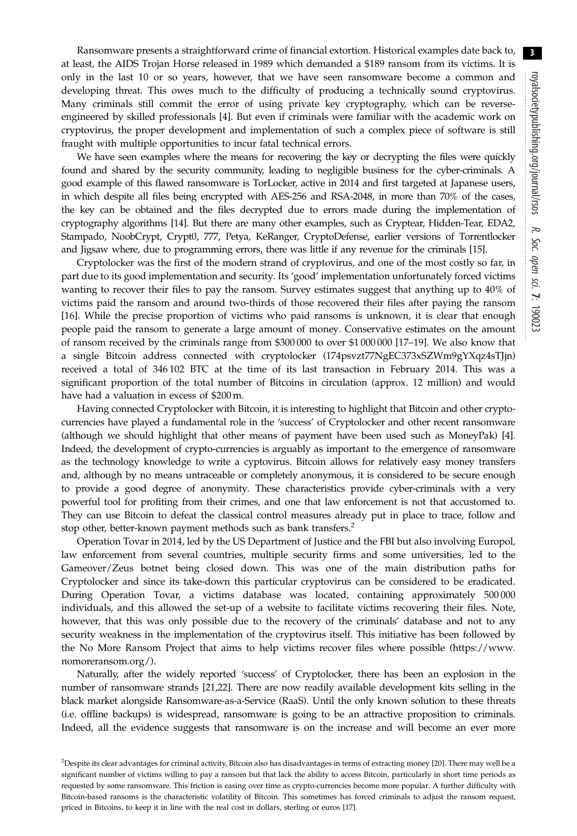Ransomware presents a straightforward crime of financial extortion. Historical examples date back to, at least, the AIDS Trojan Horse released in 1989 which demanded a \$189 ransom from its victims. It is only in the last 10 or so years, however, that we have seen ransomware become a common and developing threat. This owes much to the difficulty of producing a technically sound cryptovirus. Many criminals still commit the error of using private key cryptography, which can be reverseengineered by skilled professionals [4]. But even if criminals were familiar with the academic work on cryptovirus, the proper development and implementation of such a complex piece of software is still fraught with multiple opportunities to incur fatal technical errors.

We have seen examples where the means for recovering the key or decrypting the files were quickly found and shared by the security community, leading to negligible business for the cyber-criminals. A good example of this flawed ransomware is TorLocker, active in 2014 and first targeted at Japanese users, in which despite all files being encrypted with AES-256 and RSA-2048, in more than 70% of the cases, the key can be obtained and the files decrypted due to errors made during the implementation of cryptography algorithms [14]. But there are many other examples, such as Cryptear, Hidden-Tear, EDA2, Stampado, NoobCrypt, Crypt0, 777, Petya, KeRanger, CryptoDefense, earlier versions of Torrentlocker and Jigsaw where, due to programming errors, there was little if any revenue for the criminals [15].

Cryptolocker was the first of the modern strand of cryptovirus, and one of the most costly so far, in part due to its good implementation and security. Its 'good' implementation unfortunately forced victims wanting to recover their files to pay the ransom. Survey estimates suggest that anything up to 40% of victims paid the ransom and around two-thirds of those recovered their files after paying the ransom [16]. While the precise proportion of victims who paid ransoms is unknown, it is clear that enough people paid the ransom to generate a large amount of money. Conservative estimates on the amount of ransom received by the criminals range from \$300 000 to over \$1 000 000 [17–19]. We also know that a single Bitcoin address connected with cryptolocker (174psvzt77NgEC373xSZWm9gYXqz4sTJjn) received a total of 346 102 BTC at the time of its last transaction in February 2014. This was a significant proportion of the total number of Bitcoins in circulation (approx. 12 million) and would have had a valuation in excess of \$200 m.

Having connected Cryptolocker with Bitcoin, it is interesting to highlight that Bitcoin and other cryptocurrencies have played a fundamental role in the 'success' of Cryptolocker and other recent ransomware (although we should highlight that other means of payment have been used such as MoneyPak) [4]. Indeed, the development of crypto-currencies is arguably as important to the emergence of ransomware as the technology knowledge to write a cyptovirus. Bitcoin allows for relatively easy money transfers and, although by no means untraceable or completely anonymous, it is considered to be secure enough to provide a good degree of anonymity. These characteristics provide cyber-criminals with a very powerful tool for profiting from their crimes, and one that law enforcement is not that accustomed to. They can use Bitcoin to defeat the classical control measures already put in place to trace, follow and stop other, better-known payment methods such as bank transfers.<sup>2</sup>

Operation Tovar in 2014, led by the US Department of Justice and the FBI but also involving Europol, law enforcement from several countries, multiple security firms and some universities, led to the Gameover/Zeus botnet being closed down. This was one of the main distribution paths for Cryptolocker and since its take-down this particular cryptovirus can be considered to be eradicated. During Operation Tovar, a victims database was located, containing approximately 500 000 individuals, and this allowed the set-up of a website to facilitate victims recovering their files. Note, however, that this was only possible due to the recovery of the criminals' database and not to any security weakness in the implementation of the cryptovirus itself. This initiative has been followed by the No More Ransom Project that aims to help victims recover files where possible ([https://www.](https://www.nomoreransom.org/) [nomoreransom.org/](https://www.nomoreransom.org/)).

Naturally, after the widely reported 'success' of Cryptolocker, there has been an explosion in the number of ransomware strands [21,22]. There are now readily available development kits selling in the black market alongside Ransomware-as-a-Service (RaaS). Until the only known solution to these threats (i.e. offline backups) is widespread, ransomware is going to be an attractive proposition to criminals. Indeed, all the evidence suggests that ransomware is on the increase and will become an ever more

<sup>&</sup>lt;sup>2</sup>Despite its clear advantages for criminal activity, Bitcoin also has disadvantages in terms of extracting money [20]. There may well be a significant number of victims willing to pay a ransom but that lack the ability to access Bitcoin, particularly in short time periods as requested by some ransomware. This friction is easing over time as crypto-currencies become more popular. A further difficulty with Bitcoin-based ransoms is the characteristic volatility of Bitcoin. This sometimes has forced criminals to adjust the ransom request, priced in Bitcoins, to keep it in line with the real cost in dollars, sterling or euros [17].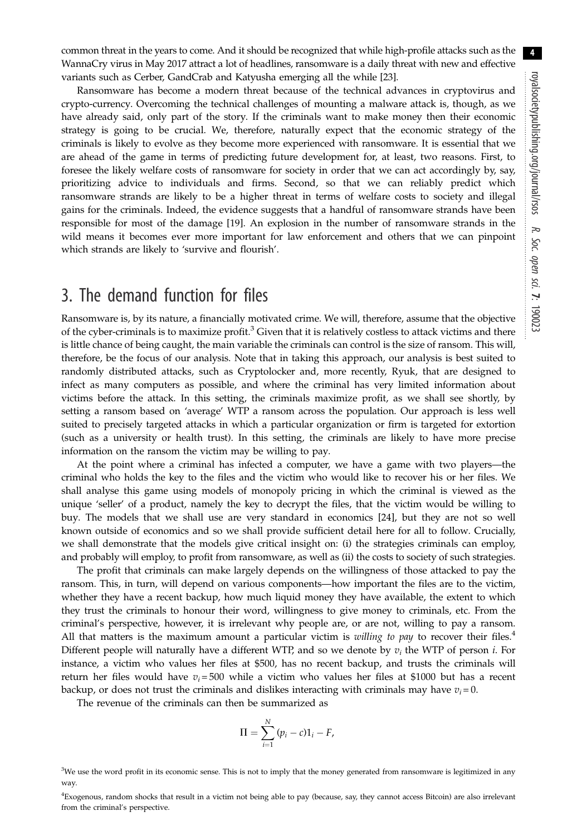4

common threat in the years to come. And it should be recognized that while high-profile attacks such as the WannaCry virus in May 2017 attract a lot of headlines, ransomware is a daily threat with new and effective variants such as Cerber, GandCrab and Katyusha emerging all the while [23].

Ransomware has become a modern threat because of the technical advances in cryptovirus and crypto-currency. Overcoming the technical challenges of mounting a malware attack is, though, as we have already said, only part of the story. If the criminals want to make money then their economic strategy is going to be crucial. We, therefore, naturally expect that the economic strategy of the criminals is likely to evolve as they become more experienced with ransomware. It is essential that we are ahead of the game in terms of predicting future development for, at least, two reasons. First, to foresee the likely welfare costs of ransomware for society in order that we can act accordingly by, say, prioritizing advice to individuals and firms. Second, so that we can reliably predict which ransomware strands are likely to be a higher threat in terms of welfare costs to society and illegal gains for the criminals. Indeed, the evidence suggests that a handful of ransomware strands have been responsible for most of the damage [19]. An explosion in the number of ransomware strands in the wild means it becomes ever more important for law enforcement and others that we can pinpoint which strands are likely to 'survive and flourish'.

# 3. The demand function for files

Ransomware is, by its nature, a financially motivated crime. We will, therefore, assume that the objective of the cyber-criminals is to maximize profit.<sup>3</sup> Given that it is relatively costless to attack victims and there is little chance of being caught, the main variable the criminals can control is the size of ransom. This will, therefore, be the focus of our analysis. Note that in taking this approach, our analysis is best suited to randomly distributed attacks, such as Cryptolocker and, more recently, Ryuk, that are designed to infect as many computers as possible, and where the criminal has very limited information about victims before the attack. In this setting, the criminals maximize profit, as we shall see shortly, by setting a ransom based on 'average' WTP a ransom across the population. Our approach is less well suited to precisely targeted attacks in which a particular organization or firm is targeted for extortion (such as a university or health trust). In this setting, the criminals are likely to have more precise information on the ransom the victim may be willing to pay.

At the point where a criminal has infected a computer, we have a game with two players—the criminal who holds the key to the files and the victim who would like to recover his or her files. We shall analyse this game using models of monopoly pricing in which the criminal is viewed as the unique 'seller' of a product, namely the key to decrypt the files, that the victim would be willing to buy. The models that we shall use are very standard in economics [24], but they are not so well known outside of economics and so we shall provide sufficient detail here for all to follow. Crucially, we shall demonstrate that the models give critical insight on: (i) the strategies criminals can employ, and probably will employ, to profit from ransomware, as well as (ii) the costs to society of such strategies.

The profit that criminals can make largely depends on the willingness of those attacked to pay the ransom. This, in turn, will depend on various components—how important the files are to the victim, whether they have a recent backup, how much liquid money they have available, the extent to which they trust the criminals to honour their word, willingness to give money to criminals, etc. From the criminal's perspective, however, it is irrelevant why people are, or are not, willing to pay a ransom. All that matters is the maximum amount a particular victim is willing to pay to recover their files.<sup>4</sup> Different people will naturally have a different WTP, and so we denote by  $v_i$  the WTP of person *i*. For instance, a victim who values her files at \$500, has no recent backup, and trusts the criminals will return her files would have  $v_i = 500$  while a victim who values her files at \$1000 but has a recent backup, or does not trust the criminals and dislikes interacting with criminals may have  $v_i = 0$ .

The revenue of the criminals can then be summarized as

$$
\Pi = \sum_{i=1}^N (p_i - c) \mathbb{1}_i - F,
$$

<sup>&</sup>lt;sup>3</sup>We use the word profit in its economic sense. This is not to imply that the money generated from ransomware is legitimized in any way.

<sup>4</sup> Exogenous, random shocks that result in a victim not being able to pay (because, say, they cannot access Bitcoin) are also irrelevant from the criminal's perspective.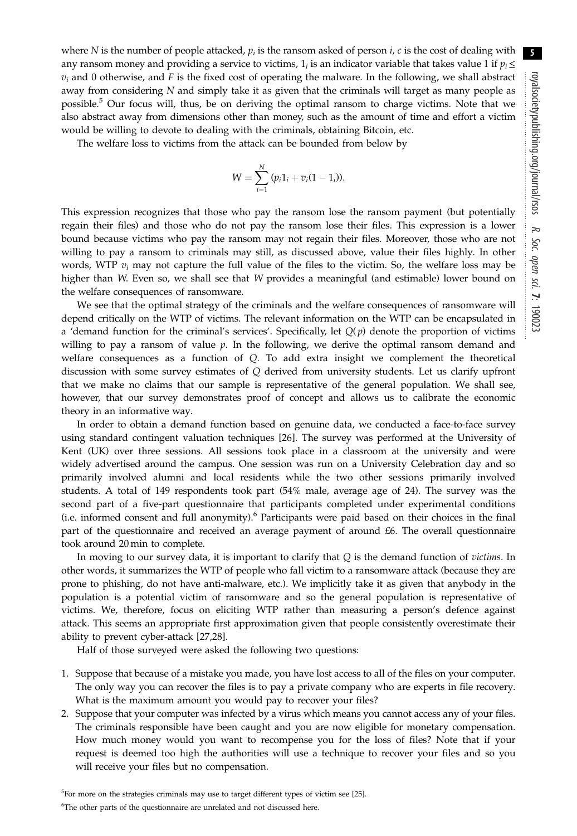where N is the number of people attacked,  $p_i$  is the ransom asked of person  $i$ ,  $c$  is the cost of dealing with any ransom money and providing a service to victims,  $1<sub>i</sub>$  is an indicator variable that takes value 1 if  $p<sub>i</sub> \leq$  $v_i$  and 0 otherwise, and F is the fixed cost of operating the malware. In the following, we shall abstract away from considering N and simply take it as given that the criminals will target as many people as possible.<sup>5</sup> Our focus will, thus, be on deriving the optimal ransom to charge victims. Note that we also abstract away from dimensions other than money, such as the amount of time and effort a victim would be willing to devote to dealing with the criminals, obtaining Bitcoin, etc.

The welfare loss to victims from the attack can be bounded from below by

$$
W = \sum_{i=1}^{N} (p_i 1_i + v_i (1 - 1_i)).
$$

This expression recognizes that those who pay the ransom lose the ransom payment (but potentially regain their files) and those who do not pay the ransom lose their files. This expression is a lower bound because victims who pay the ransom may not regain their files. Moreover, those who are not willing to pay a ransom to criminals may still, as discussed above, value their files highly. In other words, WTP  $v_i$  may not capture the full value of the files to the victim. So, the welfare loss may be higher than W. Even so, we shall see that W provides a meaningful (and estimable) lower bound on the welfare consequences of ransomware.

We see that the optimal strategy of the criminals and the welfare consequences of ransomware will depend critically on the WTP of victims. The relevant information on the WTP can be encapsulated in a 'demand function for the criminal's services'. Specifically, let  $Q(p)$  denote the proportion of victims willing to pay a ransom of value  $p$ . In the following, we derive the optimal ransom demand and welfare consequences as a function of Q. To add extra insight we complement the theoretical discussion with some survey estimates of Q derived from university students. Let us clarify upfront that we make no claims that our sample is representative of the general population. We shall see, however, that our survey demonstrates proof of concept and allows us to calibrate the economic theory in an informative way.

In order to obtain a demand function based on genuine data, we conducted a face-to-face survey using standard contingent valuation techniques [26]. The survey was performed at the University of Kent (UK) over three sessions. All sessions took place in a classroom at the university and were widely advertised around the campus. One session was run on a University Celebration day and so primarily involved alumni and local residents while the two other sessions primarily involved students. A total of 149 respondents took part (54% male, average age of 24). The survey was the second part of a five-part questionnaire that participants completed under experimental conditions (i.e. informed consent and full anonymity).6 Participants were paid based on their choices in the final part of the questionnaire and received an average payment of around £6. The overall questionnaire took around 20 min to complete.

In moving to our survey data, it is important to clarify that  $Q$  is the demand function of victims. In other words, it summarizes the WTP of people who fall victim to a ransomware attack (because they are prone to phishing, do not have anti-malware, etc.). We implicitly take it as given that anybody in the population is a potential victim of ransomware and so the general population is representative of victims. We, therefore, focus on eliciting WTP rather than measuring a person's defence against attack. This seems an appropriate first approximation given that people consistently overestimate their ability to prevent cyber-attack [27,28].

Half of those surveyed were asked the following two questions:

- 1. Suppose that because of a mistake you made, you have lost access to all of the files on your computer. The only way you can recover the files is to pay a private company who are experts in file recovery. What is the maximum amount you would pay to recover your files?
- 2. Suppose that your computer was infected by a virus which means you cannot access any of your files. The criminals responsible have been caught and you are now eligible for monetary compensation. How much money would you want to recompense you for the loss of files? Note that if your request is deemed too high the authorities will use a technique to recover your files and so you will receive your files but no compensation.

<sup>5</sup>For more on the strategies criminals may use to target different types of victim see [25].

<sup>&</sup>lt;sup>6</sup>The other parts of the questionnaire are unrelated and not discussed here.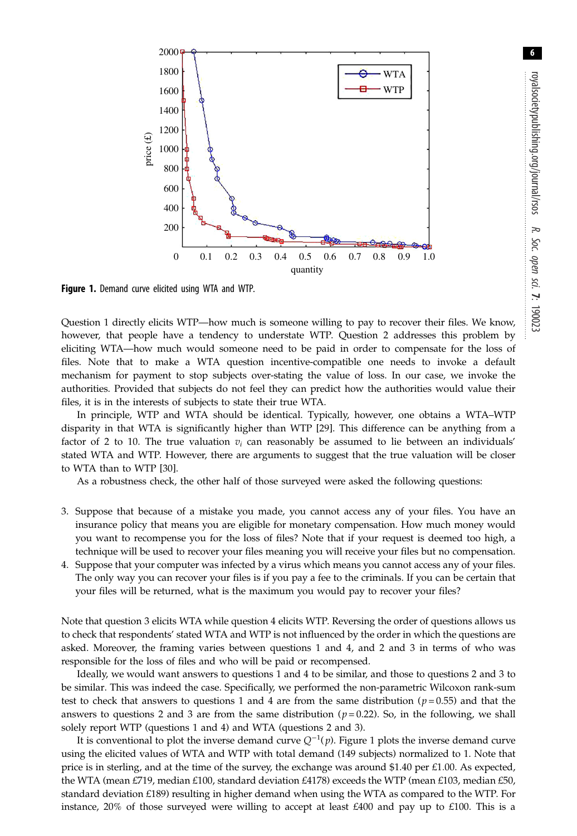

Figure 1. Demand curve elicited using WTA and WTP.

Question 1 directly elicits WTP—how much is someone willing to pay to recover their files. We know, however, that people have a tendency to understate WTP. Question 2 addresses this problem by eliciting WTA—how much would someone need to be paid in order to compensate for the loss of files. Note that to make a WTA question incentive-compatible one needs to invoke a default mechanism for payment to stop subjects over-stating the value of loss. In our case, we invoke the authorities. Provided that subjects do not feel they can predict how the authorities would value their files, it is in the interests of subjects to state their true WTA.

In principle, WTP and WTA should be identical. Typically, however, one obtains a WTA–WTP disparity in that WTA is significantly higher than WTP [29]. This difference can be anything from a factor of 2 to 10. The true valuation  $v_i$  can reasonably be assumed to lie between an individuals' stated WTA and WTP. However, there are arguments to suggest that the true valuation will be closer to WTA than to WTP [30].

As a robustness check, the other half of those surveyed were asked the following questions:

- 3. Suppose that because of a mistake you made, you cannot access any of your files. You have an insurance policy that means you are eligible for monetary compensation. How much money would you want to recompense you for the loss of files? Note that if your request is deemed too high, a technique will be used to recover your files meaning you will receive your files but no compensation.
- 4. Suppose that your computer was infected by a virus which means you cannot access any of your files. The only way you can recover your files is if you pay a fee to the criminals. If you can be certain that your files will be returned, what is the maximum you would pay to recover your files?

Note that question 3 elicits WTA while question 4 elicits WTP. Reversing the order of questions allows us to check that respondents' stated WTA and WTP is not influenced by the order in which the questions are asked. Moreover, the framing varies between questions 1 and 4, and 2 and 3 in terms of who was responsible for the loss of files and who will be paid or recompensed.

Ideally, we would want answers to questions 1 and 4 to be similar, and those to questions 2 and 3 to be similar. This was indeed the case. Specifically, we performed the non-parametric Wilcoxon rank-sum test to check that answers to questions 1 and 4 are from the same distribution ( $p = 0.55$ ) and that the answers to questions 2 and 3 are from the same distribution ( $p=0.22$ ). So, in the following, we shall solely report WTP (questions 1 and 4) and WTA (questions 2 and 3).

It is conventional to plot the inverse demand curve  $Q^{-1}(p)$ . Figure 1 plots the inverse demand curve<br>particularly values of WTA and WTB with total domand (140 subjects) normalized to 1. Note that using the elicited values of WTA and WTP with total demand (149 subjects) normalized to 1. Note that price is in sterling, and at the time of the survey, the exchange was around \$1.40 per  $£1.00$ . As expected, the WTA (mean £719, median £100, standard deviation £4178) exceeds the WTP (mean £103, median £50, standard deviation £189) resulting in higher demand when using the WTA as compared to the WTP. For instance,  $20\%$  of those surveyed were willing to accept at least  $\text{\pounds}400$  and pay up to  $\text{\pounds}100$ . This is a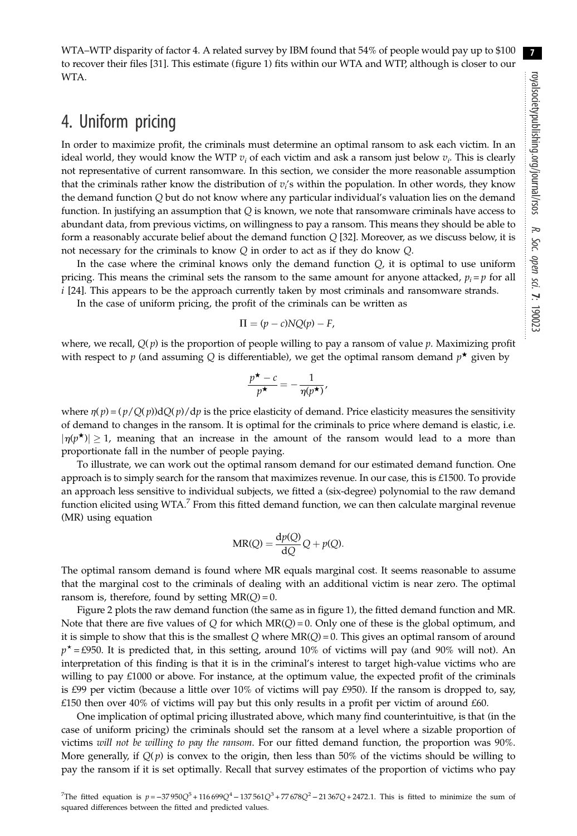WTA–WTP disparity of factor 4. A related survey by IBM found that 54% of people would pay up to \$100 to recover their files [31]. This estimate (figure 1) fits within our WTA and WTP, although is closer to our WTA.

# 4. Uniform pricing

In order to maximize profit, the criminals must determine an optimal ransom to ask each victim. In an ideal world, they would know the WTP  $v_i$  of each victim and ask a ransom just below  $v_i$ . This is clearly not representative of current ransomware. In this section, we consider the more reasonable assumption that the criminals rather know the distribution of  $v_i$ 's within the population. In other words, they know the demand function Q but do not know where any particular individual's valuation lies on the demand function. In justifying an assumption that  $Q$  is known, we note that ransomware criminals have access to abundant data, from previous victims, on willingness to pay a ransom. This means they should be able to form a reasonably accurate belief about the demand function  $Q$  [32]. Moreover, as we discuss below, it is not necessary for the criminals to know Q in order to act as if they do know Q.

In the case where the criminal knows only the demand function  $Q$ , it is optimal to use uniform pricing. This means the criminal sets the ransom to the same amount for anyone attacked,  $p_i = p$  for all i [24]. This appears to be the approach currently taken by most criminals and ransomware strands.

In the case of uniform pricing, the profit of the criminals can be written as

$$
\Pi = (p - c)NQ(p) - F,
$$

where, we recall,  $Q(p)$  is the proportion of people willing to pay a ransom of value p. Maximizing profit with respect to p (and assuming Q is differentiable), we get the optimal ransom demand  $p^*$  given by

$$
\frac{p^{\star} - c}{p^{\star}} = -\frac{1}{\eta(p^{\star})},
$$

where  $\eta(p)=(p/Q(p))dQ(p)/dp$  is the price elasticity of demand. Price elasticity measures the sensitivity of demand to changes in the ransom. It is optimal for the criminals to price where demand is elastic, i.e.  $|\eta(p^{\star})| \geq 1$ , meaning that an increase in the amount of the ransom would lead to a more than proportionate fall in the number of people paying.

To illustrate, we can work out the optimal ransom demand for our estimated demand function. One approach is to simply search for the ransom that maximizes revenue. In our case, this is £1500. To provide an approach less sensitive to individual subjects, we fitted a (six-degree) polynomial to the raw demand function elicited using WTA.<sup>7</sup> From this fitted demand function, we can then calculate marginal revenue (MR) using equation

$$
MR(Q) = \frac{dp(Q)}{dQ}Q + p(Q).
$$

The optimal ransom demand is found where MR equals marginal cost. It seems reasonable to assume that the marginal cost to the criminals of dealing with an additional victim is near zero. The optimal ransom is, therefore, found by setting  $MR(Q) = 0$ .

Figure 2 plots the raw demand function (the same as in figure 1), the fitted demand function and MR. Note that there are five values of Q for which  $MR(Q) = 0$ . Only one of these is the global optimum, and it is simple to show that this is the smallest Q where  $MR(Q) = 0$ . This gives an optimal ransom of around  $p^{\star}$  = £950. It is predicted that, in this setting, around 10% of victims will pay (and 90% will not). An interpretation of this finding is that it is in the criminal's interest to target high-value victims who are willing to pay £1000 or above. For instance, at the optimum value, the expected profit of the criminals is £99 per victim (because a little over 10% of victims will pay £950). If the ransom is dropped to, say, £150 then over 40% of victims will pay but this only results in a profit per victim of around £60.

One implication of optimal pricing illustrated above, which many find counterintuitive, is that (in the case of uniform pricing) the criminals should set the ransom at a level where a sizable proportion of victims will not be willing to pay the ransom. For our fitted demand function, the proportion was 90%. More generally, if  $Q(p)$  is convex to the origin, then less than 50% of the victims should be willing to pay the ransom if it is set optimally. Recall that survey estimates of the proportion of victims who pay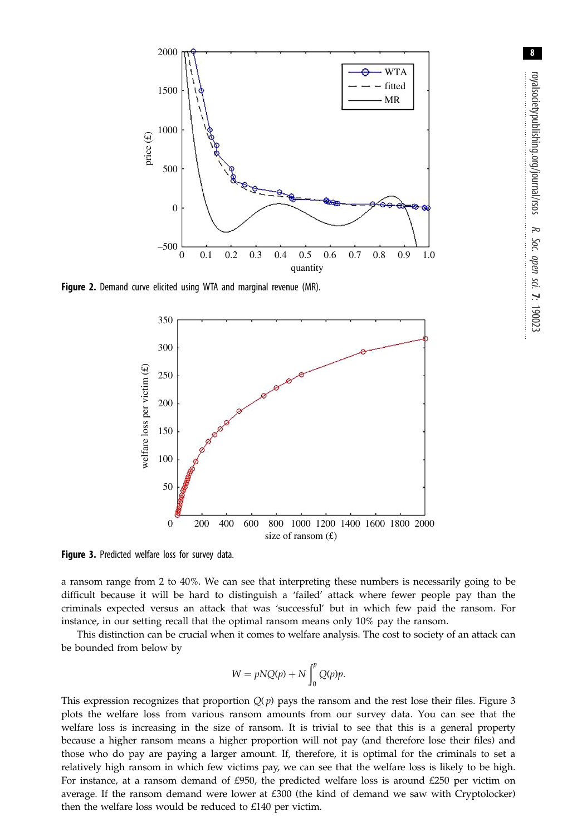

**Figure 2.** Demand curve elicited using WTA and marginal revenue (MR).



a ransom range from 2 to 40%. We can see that interpreting these numbers is necessarily going to be difficult because it will be hard to distinguish a 'failed' attack where fewer people pay than the criminals expected versus an attack that was 'successful' but in which few paid the ransom. For instance, in our setting recall that the optimal ransom means only 10% pay the ransom.

This distinction can be crucial when it comes to welfare analysis. The cost to society of an attack can be bounded from below by

$$
W = pNQ(p) + N \int_0^p Q(p)p.
$$

This expression recognizes that proportion  $Q(p)$  pays the ransom and the rest lose their files. Figure 3 plots the welfare loss from various ransom amounts from our survey data. You can see that the welfare loss is increasing in the size of ransom. It is trivial to see that this is a general property because a higher ransom means a higher proportion will not pay (and therefore lose their files) and those who do pay are paying a larger amount. If, therefore, it is optimal for the criminals to set a relatively high ransom in which few victims pay, we can see that the welfare loss is likely to be high. For instance, at a ransom demand of £950, the predicted welfare loss is around £250 per victim on average. If the ransom demand were lower at £300 (the kind of demand we saw with Cryptolocker) then the welfare loss would be reduced to £140 per victim.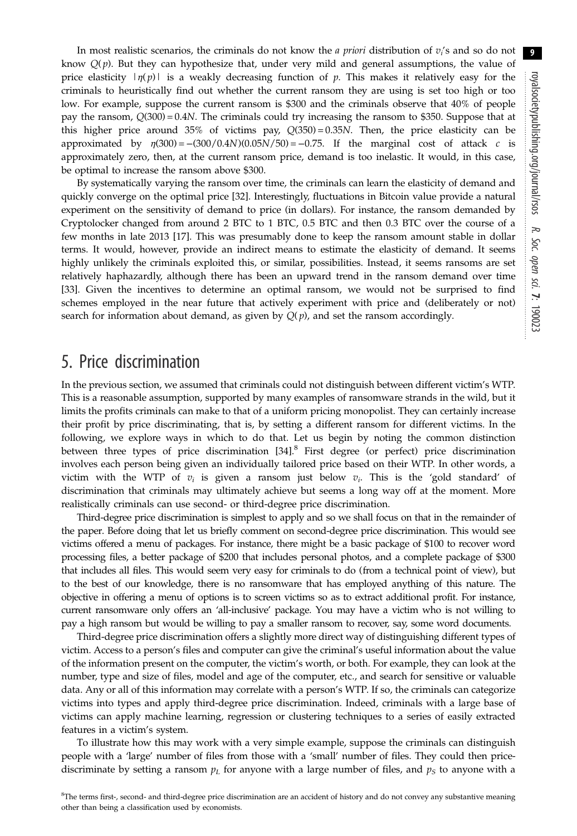In most realistic scenarios, the criminals do not know the *a priori* distribution of  $v_i$ 's and so do not know  $Q(p)$ . But they can hypothesize that, under very mild and general assumptions, the value of price elasticity  $|\eta(p)|$  is a weakly decreasing function of p. This makes it relatively easy for the criminals to heuristically find out whether the current ransom they are using is set too high or too low. For example, suppose the current ransom is \$300 and the criminals observe that 40% of people pay the ransom, Q(300) = 0.4N. The criminals could try increasing the ransom to \$350. Suppose that at this higher price around 35% of victims pay,  $Q(350) = 0.35N$ . Then, the price elasticity can be approximated by  $n(300) = -(300/(0.4N)(0.05N/50) = -0.75$ . If the marginal cost of attack c is approximated by  $\eta(300) = -(300/0.4N)(0.05N/50) = -0.75$ . If the marginal cost of attack c approximately zero, then, at the current ransom price, demand is too inelastic. It would, in this case, be optimal to increase the ransom above \$300.

By systematically varying the ransom over time, the criminals can learn the elasticity of demand and quickly converge on the optimal price [32]. Interestingly, fluctuations in Bitcoin value provide a natural experiment on the sensitivity of demand to price (in dollars). For instance, the ransom demanded by Cryptolocker changed from around 2 BTC to 1 BTC, 0.5 BTC and then 0.3 BTC over the course of a few months in late 2013 [17]. This was presumably done to keep the ransom amount stable in dollar terms. It would, however, provide an indirect means to estimate the elasticity of demand. It seems highly unlikely the criminals exploited this, or similar, possibilities. Instead, it seems ransoms are set relatively haphazardly, although there has been an upward trend in the ransom demand over time [33]. Given the incentives to determine an optimal ransom, we would not be surprised to find schemes employed in the near future that actively experiment with price and (deliberately or not) search for information about demand, as given by  $Q(p)$ , and set the ransom accordingly.

### 5. Price discrimination

In the previous section, we assumed that criminals could not distinguish between different victim's WTP. This is a reasonable assumption, supported by many examples of ransomware strands in the wild, but it limits the profits criminals can make to that of a uniform pricing monopolist. They can certainly increase their profit by price discriminating, that is, by setting a different ransom for different victims. In the following, we explore ways in which to do that. Let us begin by noting the common distinction between three types of price discrimination [34].<sup>8</sup> First degree (or perfect) price discrimination involves each person being given an individually tailored price based on their WTP. In other words, a victim with the WTP of  $v_i$  is given a ransom just below  $v_i$ . This is the 'gold standard' of discrimination that criminals may ultimately achieve but seems a long way off at the moment. More realistically criminals can use second- or third-degree price discrimination.

Third-degree price discrimination is simplest to apply and so we shall focus on that in the remainder of the paper. Before doing that let us briefly comment on second-degree price discrimination. This would see victims offered a menu of packages. For instance, there might be a basic package of \$100 to recover word processing files, a better package of \$200 that includes personal photos, and a complete package of \$300 that includes all files. This would seem very easy for criminals to do (from a technical point of view), but to the best of our knowledge, there is no ransomware that has employed anything of this nature. The objective in offering a menu of options is to screen victims so as to extract additional profit. For instance, current ransomware only offers an 'all-inclusive' package. You may have a victim who is not willing to pay a high ransom but would be willing to pay a smaller ransom to recover, say, some word documents.

Third-degree price discrimination offers a slightly more direct way of distinguishing different types of victim. Access to a person's files and computer can give the criminal's useful information about the value of the information present on the computer, the victim's worth, or both. For example, they can look at the number, type and size of files, model and age of the computer, etc., and search for sensitive or valuable data. Any or all of this information may correlate with a person's WTP. If so, the criminals can categorize victims into types and apply third-degree price discrimination. Indeed, criminals with a large base of victims can apply machine learning, regression or clustering techniques to a series of easily extracted features in a victim's system.

To illustrate how this may work with a very simple example, suppose the criminals can distinguish people with a 'large' number of files from those with a 'small' number of files. They could then pricediscriminate by setting a ransom  $p<sub>L</sub>$  for anyone with a large number of files, and  $p<sub>S</sub>$  to anyone with a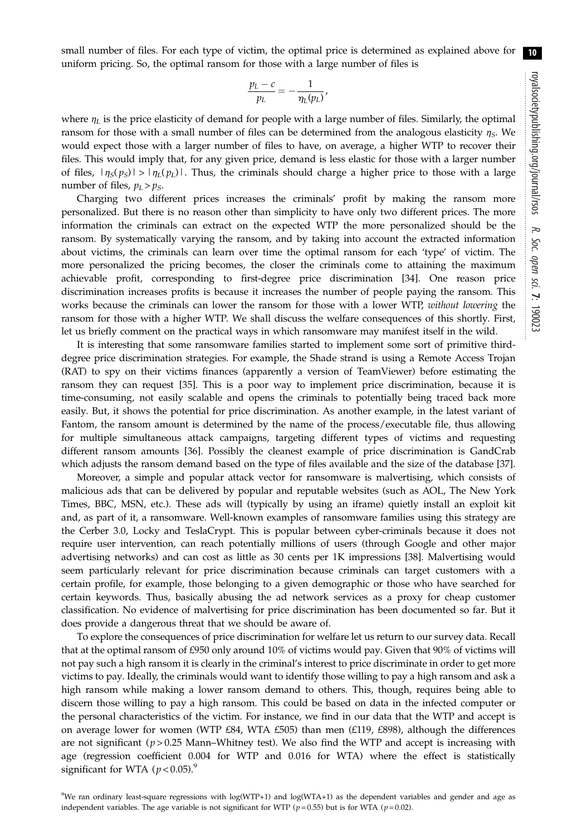small number of files. For each type of victim, the optimal price is determined as explained above for uniform pricing. So, the optimal ransom for those with a large number of files is 10

,

$$
\frac{p_L-c}{p_L}=-\frac{1}{\eta_L(p_L)}
$$

where  $\eta_L$  is the price elasticity of demand for people with a large number of files. Similarly, the optimal ransom for those with a small number of files can be determined from the analogous elasticity  $\eta_s$ . We would expect those with a larger number of files to have, on average, a higher WTP to recover their files. This would imply that, for any given price, demand is less elastic for those with a larger number of files,  $|\eta_S(p_S)| > |\eta_L(p_L)|$ . Thus, the criminals should charge a higher price to those with a large number of files,  $p_L > p_S$ .

Charging two different prices increases the criminals' profit by making the ransom more personalized. But there is no reason other than simplicity to have only two different prices. The more information the criminals can extract on the expected WTP the more personalized should be the ransom. By systematically varying the ransom, and by taking into account the extracted information about victims, the criminals can learn over time the optimal ransom for each 'type' of victim. The more personalized the pricing becomes, the closer the criminals come to attaining the maximum achievable profit, corresponding to first-degree price discrimination [34]. One reason price discrimination increases profits is because it increases the number of people paying the ransom. This works because the criminals can lower the ransom for those with a lower WTP, without lowering the ransom for those with a higher WTP. We shall discuss the welfare consequences of this shortly. First, let us briefly comment on the practical ways in which ransomware may manifest itself in the wild.

It is interesting that some ransomware families started to implement some sort of primitive thirddegree price discrimination strategies. For example, the Shade strand is using a Remote Access Trojan (RAT) to spy on their victims finances (apparently a version of TeamViewer) before estimating the ransom they can request [35]. This is a poor way to implement price discrimination, because it is time-consuming, not easily scalable and opens the criminals to potentially being traced back more easily. But, it shows the potential for price discrimination. As another example, in the latest variant of Fantom, the ransom amount is determined by the name of the process/executable file, thus allowing for multiple simultaneous attack campaigns, targeting different types of victims and requesting different ransom amounts [36]. Possibly the cleanest example of price discrimination is GandCrab which adjusts the ransom demand based on the type of files available and the size of the database [37].

Moreover, a simple and popular attack vector for ransomware is malvertising, which consists of malicious ads that can be delivered by popular and reputable websites (such as AOL, The New York Times, BBC, MSN, etc.). These ads will (typically by using an iframe) quietly install an exploit kit and, as part of it, a ransomware. Well-known examples of ransomware families using this strategy are the Cerber 3.0, Locky and TeslaCrypt. This is popular between cyber-criminals because it does not require user intervention, can reach potentially millions of users (through Google and other major advertising networks) and can cost as little as 30 cents per 1K impressions [38]. Malvertising would seem particularly relevant for price discrimination because criminals can target customers with a certain profile, for example, those belonging to a given demographic or those who have searched for certain keywords. Thus, basically abusing the ad network services as a proxy for cheap customer classification. No evidence of malvertising for price discrimination has been documented so far. But it does provide a dangerous threat that we should be aware of.

To explore the consequences of price discrimination for welfare let us return to our survey data. Recall that at the optimal ransom of £950 only around 10% of victims would pay. Given that 90% of victims will not pay such a high ransom it is clearly in the criminal's interest to price discriminate in order to get more victims to pay. Ideally, the criminals would want to identify those willing to pay a high ransom and ask a high ransom while making a lower ransom demand to others. This, though, requires being able to discern those willing to pay a high ransom. This could be based on data in the infected computer or the personal characteristics of the victim. For instance, we find in our data that the WTP and accept is on average lower for women (WTP £84, WTA £505) than men (£119, £898), although the differences are not significant ( $p > 0.25$  Mann–Whitney test). We also find the WTP and accept is increasing with age (regression coefficient 0.004 for WTP and 0.016 for WTA) where the effect is statistically significant for WTA ( $p < 0.05$ ).<sup>9</sup>

9 We ran ordinary least-square regressions with log(WTP+1) and log(WTA+1) as the dependent variables and gender and age as independent variables. The age variable is not significant for WTP ( $p = 0.55$ ) but is for WTA ( $p = 0.02$ ).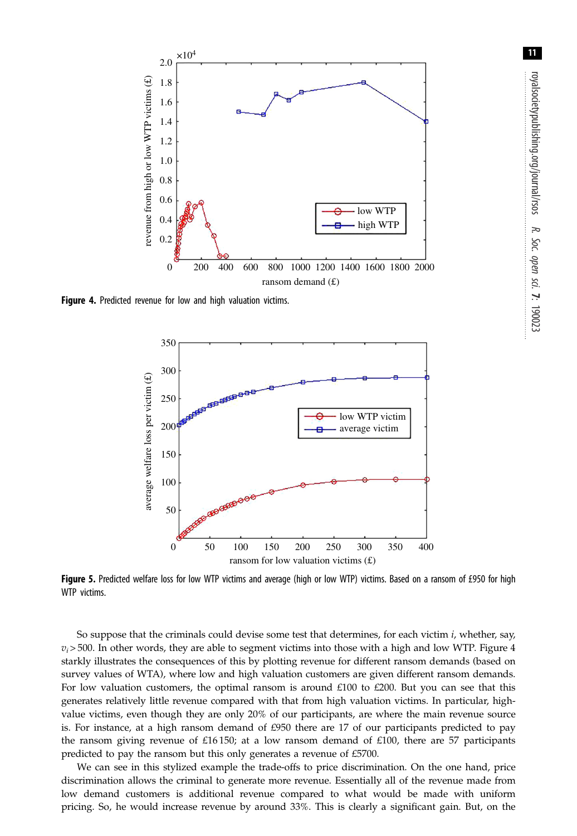

Figure 4. Predicted revenue for low and high valuation victims.



Figure 5. Predicted welfare loss for low WTP victims and average (high or low WTP) victims. Based on a ransom of £950 for high WTP victims.

So suppose that the criminals could devise some test that determines, for each victim  $i$ , whether, say,  $v_i$  > 500. In other words, they are able to segment victims into those with a high and low WTP. Figure 4 starkly illustrates the consequences of this by plotting revenue for different ransom demands (based on survey values of WTA), where low and high valuation customers are given different ransom demands. For low valuation customers, the optimal ransom is around £100 to £200. But you can see that this generates relatively little revenue compared with that from high valuation victims. In particular, highvalue victims, even though they are only 20% of our participants, are where the main revenue source is. For instance, at a high ransom demand of  $£950$  there are 17 of our participants predicted to pay the ransom giving revenue of £16 150; at a low ransom demand of £100, there are 57 participants predicted to pay the ransom but this only generates a revenue of £5700.

We can see in this stylized example the trade-offs to price discrimination. On the one hand, price discrimination allows the criminal to generate more revenue. Essentially all of the revenue made from low demand customers is additional revenue compared to what would be made with uniform pricing. So, he would increase revenue by around 33%. This is clearly a significant gain. But, on the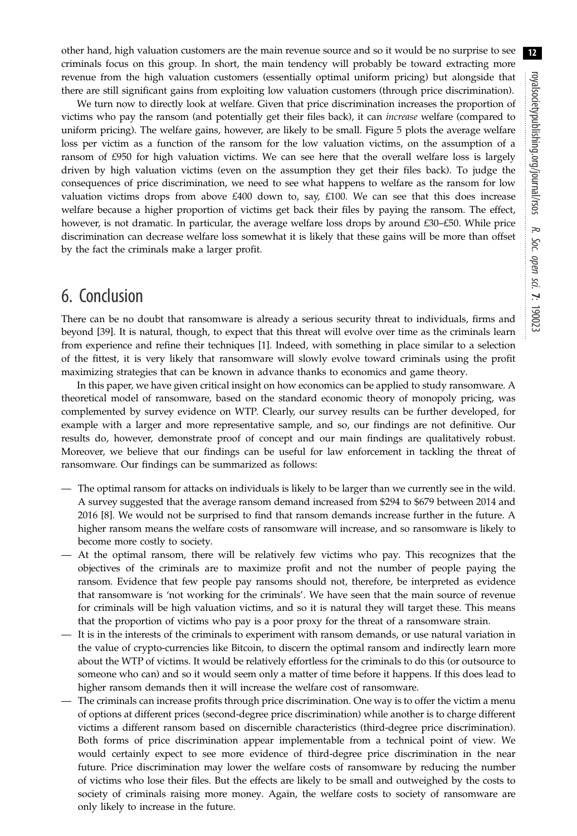other hand, high valuation customers are the main revenue source and so it would be no surprise to see criminals focus on this group. In short, the main tendency will probably be toward extracting more revenue from the high valuation customers (essentially optimal uniform pricing) but alongside that there are still significant gains from exploiting low valuation customers (through price discrimination).

We turn now to directly look at welfare. Given that price discrimination increases the proportion of victims who pay the ransom (and potentially get their files back), it can increase welfare (compared to uniform pricing). The welfare gains, however, are likely to be small. Figure 5 plots the average welfare loss per victim as a function of the ransom for the low valuation victims, on the assumption of a ransom of £950 for high valuation victims. We can see here that the overall welfare loss is largely driven by high valuation victims (even on the assumption they get their files back). To judge the consequences of price discrimination, we need to see what happens to welfare as the ransom for low valuation victims drops from above  $£400$  down to, say,  $£100$ . We can see that this does increase welfare because a higher proportion of victims get back their files by paying the ransom. The effect, however, is not dramatic. In particular, the average welfare loss drops by around £30–£50. While price discrimination can decrease welfare loss somewhat it is likely that these gains will be more than offset by the fact the criminals make a larger profit.

# 6. Conclusion

There can be no doubt that ransomware is already a serious security threat to individuals, firms and beyond [39]. It is natural, though, to expect that this threat will evolve over time as the criminals learn from experience and refine their techniques [1]. Indeed, with something in place similar to a selection of the fittest, it is very likely that ransomware will slowly evolve toward criminals using the profit maximizing strategies that can be known in advance thanks to economics and game theory.

In this paper, we have given critical insight on how economics can be applied to study ransomware. A theoretical model of ransomware, based on the standard economic theory of monopoly pricing, was complemented by survey evidence on WTP. Clearly, our survey results can be further developed, for example with a larger and more representative sample, and so, our findings are not definitive. Our results do, however, demonstrate proof of concept and our main findings are qualitatively robust. Moreover, we believe that our findings can be useful for law enforcement in tackling the threat of ransomware. Our findings can be summarized as follows:

- The optimal ransom for attacks on individuals is likely to be larger than we currently see in the wild. A survey suggested that the average ransom demand increased from \$294 to \$679 between 2014 and 2016 [8]. We would not be surprised to find that ransom demands increase further in the future. A higher ransom means the welfare costs of ransomware will increase, and so ransomware is likely to become more costly to society.
- At the optimal ransom, there will be relatively few victims who pay. This recognizes that the objectives of the criminals are to maximize profit and not the number of people paying the ransom. Evidence that few people pay ransoms should not, therefore, be interpreted as evidence that ransomware is 'not working for the criminals'. We have seen that the main source of revenue for criminals will be high valuation victims, and so it is natural they will target these. This means that the proportion of victims who pay is a poor proxy for the threat of a ransomware strain.
- It is in the interests of the criminals to experiment with ransom demands, or use natural variation in the value of crypto-currencies like Bitcoin, to discern the optimal ransom and indirectly learn more about the WTP of victims. It would be relatively effortless for the criminals to do this (or outsource to someone who can) and so it would seem only a matter of time before it happens. If this does lead to higher ransom demands then it will increase the welfare cost of ransomware.
- The criminals can increase profits through price discrimination. One way is to offer the victim a menu of options at different prices (second-degree price discrimination) while another is to charge different victims a different ransom based on discernible characteristics (third-degree price discrimination). Both forms of price discrimination appear implementable from a technical point of view. We would certainly expect to see more evidence of third-degree price discrimination in the near future. Price discrimination may lower the welfare costs of ransomware by reducing the number of victims who lose their files. But the effects are likely to be small and outweighed by the costs to society of criminals raising more money. Again, the welfare costs to society of ransomware are only likely to increase in the future.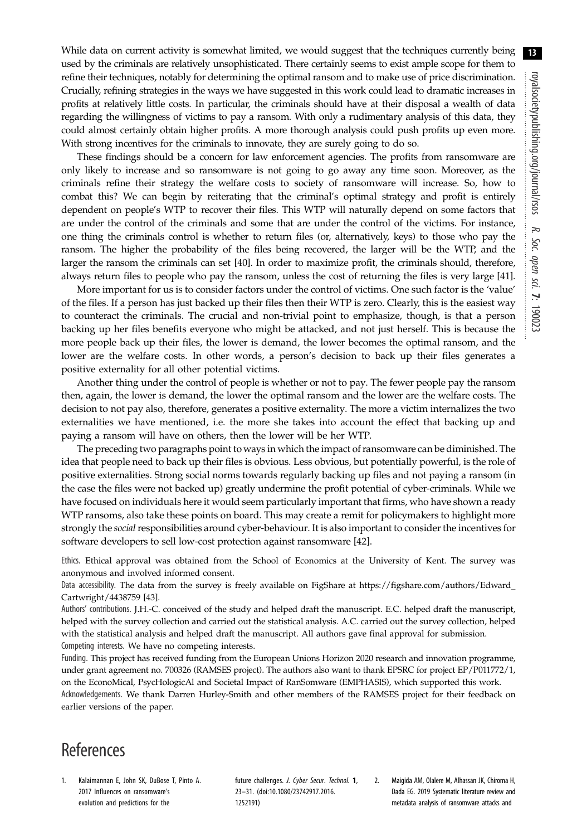While data on current activity is somewhat limited, we would suggest that the techniques currently being used by the criminals are relatively unsophisticated. There certainly seems to exist ample scope for them to refine their techniques, notably for determining the optimal ransom and to make use of price discrimination. Crucially, refining strategies in the ways we have suggested in this work could lead to dramatic increases in profits at relatively little costs. In particular, the criminals should have at their disposal a wealth of data regarding the willingness of victims to pay a ransom. With only a rudimentary analysis of this data, they could almost certainly obtain higher profits. A more thorough analysis could push profits up even more. With strong incentives for the criminals to innovate, they are surely going to do so.

These findings should be a concern for law enforcement agencies. The profits from ransomware are only likely to increase and so ransomware is not going to go away any time soon. Moreover, as the criminals refine their strategy the welfare costs to society of ransomware will increase. So, how to combat this? We can begin by reiterating that the criminal's optimal strategy and profit is entirely dependent on people's WTP to recover their files. This WTP will naturally depend on some factors that are under the control of the criminals and some that are under the control of the victims. For instance, one thing the criminals control is whether to return files (or, alternatively, keys) to those who pay the ransom. The higher the probability of the files being recovered, the larger will be the WTP, and the larger the ransom the criminals can set [40]. In order to maximize profit, the criminals should, therefore, always return files to people who pay the ransom, unless the cost of returning the files is very large [41].

More important for us is to consider factors under the control of victims. One such factor is the 'value' of the files. If a person has just backed up their files then their WTP is zero. Clearly, this is the easiest way to counteract the criminals. The crucial and non-trivial point to emphasize, though, is that a person backing up her files benefits everyone who might be attacked, and not just herself. This is because the more people back up their files, the lower is demand, the lower becomes the optimal ransom, and the lower are the welfare costs. In other words, a person's decision to back up their files generates a positive externality for all other potential victims.

Another thing under the control of people is whether or not to pay. The fewer people pay the ransom then, again, the lower is demand, the lower the optimal ransom and the lower are the welfare costs. The decision to not pay also, therefore, generates a positive externality. The more a victim internalizes the two externalities we have mentioned, i.e. the more she takes into account the effect that backing up and paying a ransom will have on others, then the lower will be her WTP.

The preceding two paragraphs point to ways in which the impact of ransomware can be diminished. The idea that people need to back up their files is obvious. Less obvious, but potentially powerful, is the role of positive externalities. Strong social norms towards regularly backing up files and not paying a ransom (in the case the files were not backed up) greatly undermine the profit potential of cyber-criminals. While we have focused on individuals here it would seem particularly important that firms, who have shown a ready WTP ransoms, also take these points on board. This may create a remit for policymakers to highlight more strongly the social responsibilities around cyber-behaviour. It is also important to consider the incentives for software developers to sell low-cost protection against ransomware [42].

Ethics. Ethical approval was obtained from the School of Economics at the University of Kent. The survey was anonymous and involved informed consent.

Data accessibility. The data from the survey is freely available on FigShare at [https://figshare.com/authors/Edward\\_](https://figshare.com/authors/Edward_Cartwright/4438759) [Cartwright/4438759](https://figshare.com/authors/Edward_Cartwright/4438759) [43].

Authors' contributions. J.H.-C. conceived of the study and helped draft the manuscript. E.C. helped draft the manuscript, helped with the survey collection and carried out the statistical analysis. A.C. carried out the survey collection, helped with the statistical analysis and helped draft the manuscript. All authors gave final approval for submission. Competing interests. We have no competing interests.

Funding. This project has received funding from the European Unions Horizon 2020 research and innovation programme, under grant agreement no. 700326 (RAMSES project). The authors also want to thank EPSRC for project EP/P011772/1, on the EconoMical, PsycHologicAl and Societal Impact of RanSomware (EMPHASIS), which supported this work. Acknowledgements. We thank Darren Hurley-Smith and other members of the RAMSES project for their feedback on earlier versions of the paper.

# References

1. Kalaimannan E, John SK, DuBose T, Pinto A. 2017 Influences on ransomware's evolution and predictions for the

future challenges. J. Cyber Secur. Technol. 1, 23–31. ([doi:10.1080/23742917.2016.](http://dx.doi.org/10.1080/23742917.2016.1252191) [1252191](http://dx.doi.org/10.1080/23742917.2016.1252191))

2. Maigida AM, Olalere M, Alhassan JK, Chiroma H, Dada EG. 2019 Systematic literature review and metadata analysis of ransomware attacks and